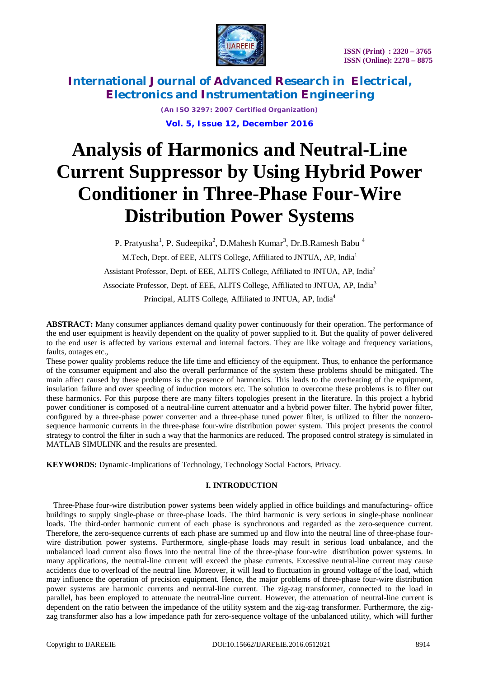



> *(An ISO 3297: 2007 Certified Organization)* **Vol. 5, Issue 12, December 2016**

# **Analysis of Harmonics and Neutral-Line Current Suppressor by Using Hybrid Power Conditioner in Three-Phase Four-Wire Distribution Power Systems**

P. Pratyusha<sup>1</sup>, P. Sudeepika<sup>2</sup>, D.Mahesh Kumar<sup>3</sup>, Dr.B.Ramesh Babu<sup>4</sup>

M.Tech, Dept. of EEE, ALITS College, Affiliated to JNTUA, AP, India<sup>1</sup>

Assistant Professor, Dept. of EEE, ALITS College, Affiliated to JNTUA, AP, India<sup>2</sup>

Associate Professor, Dept. of EEE, ALITS College, Affiliated to JNTUA, AP, India<sup>3</sup>

Principal, ALITS College, Affiliated to JNTUA, AP, India<sup>4</sup>

**ABSTRACT:** Many consumer appliances demand quality power continuously for their operation. The performance of the end user equipment is heavily dependent on the quality of power supplied to it. But the quality of power delivered to the end user is affected by various external and internal factors. They are like voltage and frequency variations, faults, outages etc.,

These power quality problems reduce the life time and efficiency of the equipment. Thus, to enhance the performance of the consumer equipment and also the overall performance of the system these problems should be mitigated. The main affect caused by these problems is the presence of harmonics. This leads to the overheating of the equipment, insulation failure and over speeding of induction motors etc. The solution to overcome these problems is to filter out these harmonics. For this purpose there are many filters topologies present in the literature. In this project a hybrid power conditioner is composed of a neutral-line current attenuator and a hybrid power filter. The hybrid power filter, configured by a three-phase power converter and a three-phase tuned power filter, is utilized to filter the nonzerosequence harmonic currents in the three-phase four-wire distribution power system. This project presents the control strategy to control the filter in such a way that the harmonics are reduced. The proposed control strategy is simulated in MATLAB SIMULINK and the results are presented.

**KEYWORDS:** Dynamic-Implications of Technology, Technology Social Factors, Privacy.

#### **I. INTRODUCTION**

Three-Phase four-wire distribution power systems been widely applied in office buildings and manufacturing- office buildings to supply single-phase or three-phase loads. The third harmonic is very serious in single-phase nonlinear loads. The third-order harmonic current of each phase is synchronous and regarded as the zero-sequence current. Therefore, the zero-sequence currents of each phase are summed up and flow into the neutral line of three-phase fourwire distribution power systems. Furthermore, single-phase loads may result in serious load unbalance, and the unbalanced load current also flows into the neutral line of the three-phase four-wire distribution power systems. In many applications, the neutral-line current will exceed the phase currents. Excessive neutral-line current may cause accidents due to overload of the neutral line. Moreover, it will lead to fluctuation in ground voltage of the load, which may influence the operation of precision equipment. Hence, the major problems of three-phase four-wire distribution power systems are harmonic currents and neutral-line current. The zig-zag transformer, connected to the load in parallel, has been employed to attenuate the neutral-line current. However, the attenuation of neutral-line current is dependent on the ratio between the impedance of the utility system and the zig-zag transformer. Furthermore, the zigzag transformer also has a low impedance path for zero-sequence voltage of the unbalanced utility, which will further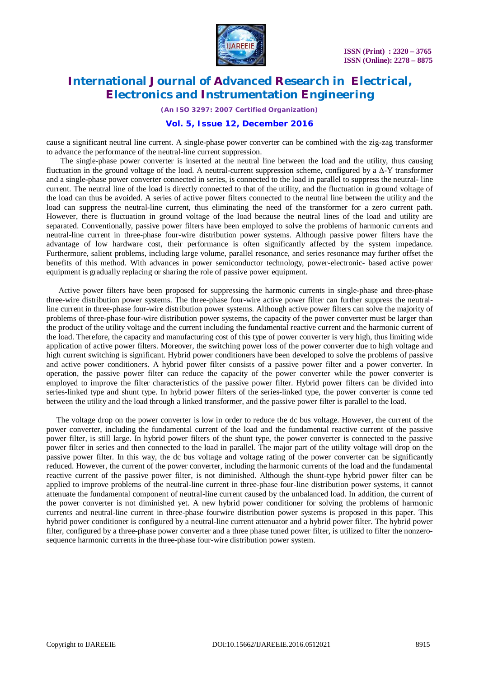

*(An ISO 3297: 2007 Certified Organization)*

### **Vol. 5, Issue 12, December 2016**

cause a significant neutral line current. A single-phase power converter can be combined with the zig-zag transformer to advance the performance of the neutral-line current suppression.

The single-phase power converter is inserted at the neutral line between the load and the utility, thus causing fluctuation in the ground voltage of the load. A neutral-current suppression scheme, configured by a  $\Delta$ -Y transformer and a single-phase power converter connected in series, is connected to the load in parallel to suppress the neutral- line current. The neutral line of the load is directly connected to that of the utility, and the fluctuation in ground voltage of the load can thus be avoided. A series of active power filters connected to the neutral line between the utility and the load can suppress the neutral-line current, thus eliminating the need of the transformer for a zero current path. However, there is fluctuation in ground voltage of the load because the neutral lines of the load and utility are separated. Conventionally, passive power filters have been employed to solve the problems of harmonic currents and neutral-line current in three-phase four-wire distribution power systems. Although passive power filters have the advantage of low hardware cost, their performance is often significantly affected by the system impedance. Furthermore, salient problems, including large volume, parallel resonance, and series resonance may further offset the benefits of this method. With advances in power semiconductor technology, power-electronic- based active power equipment is gradually replacing or sharing the role of passive power equipment.

Active power filters have been proposed for suppressing the harmonic currents in single-phase and three-phase three-wire distribution power systems. The three-phase four-wire active power filter can further suppress the neutralline current in three-phase four-wire distribution power systems. Although active power filters can solve the majority of problems of three-phase four-wire distribution power systems, the capacity of the power converter must be larger than the product of the utility voltage and the current including the fundamental reactive current and the harmonic current of the load. Therefore, the capacity and manufacturing cost of this type of power converter is very high, thus limiting wide application of active power filters. Moreover, the switching power loss of the power converter due to high voltage and high current switching is significant. Hybrid power conditioners have been developed to solve the problems of passive and active power conditioners. A hybrid power filter consists of a passive power filter and a power converter. In operation, the passive power filter can reduce the capacity of the power converter while the power converter is employed to improve the filter characteristics of the passive power filter. Hybrid power filters can be divided into series-linked type and shunt type. In hybrid power filters of the series-linked type, the power converter is conne ted between the utility and the load through a linked transformer, and the passive power filter is parallel to the load.

The voltage drop on the power converter is low in order to reduce the dc bus voltage. However, the current of the power converter, including the fundamental current of the load and the fundamental reactive current of the passive power filter, is still large. In hybrid power filters of the shunt type, the power converter is connected to the passive power filter in series and then connected to the load in parallel. The major part of the utility voltage will drop on the passive power filter. In this way, the dc bus voltage and voltage rating of the power converter can be significantly reduced. However, the current of the power converter, including the harmonic currents of the load and the fundamental reactive current of the passive power filter, is not diminished. Although the shunt-type hybrid power filter can be applied to improve problems of the neutral-line current in three-phase four-line distribution power systems, it cannot attenuate the fundamental component of neutral-line current caused by the unbalanced load. In addition, the current of the power converter is not diminished yet. A new hybrid power conditioner for solving the problems of harmonic currents and neutral-line current in three-phase fourwire distribution power systems is proposed in this paper. This hybrid power conditioner is configured by a neutral-line current attenuator and a hybrid power filter. The hybrid power filter, configured by a three-phase power converter and a three phase tuned power filter, is utilized to filter the nonzerosequence harmonic currents in the three-phase four-wire distribution power system.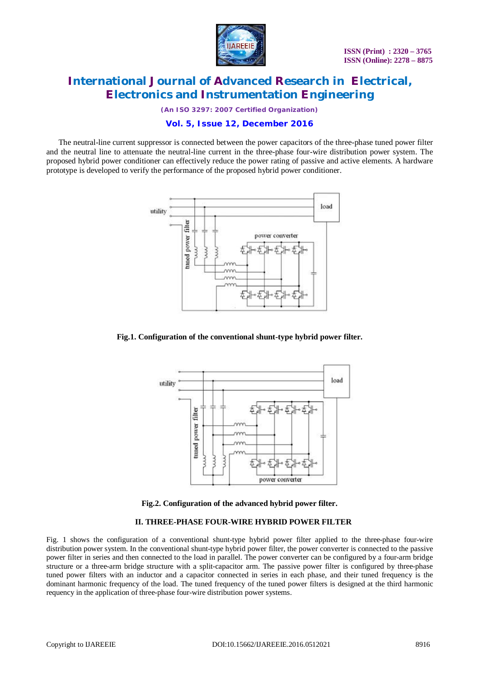

*(An ISO 3297: 2007 Certified Organization)*

## **Vol. 5, Issue 12, December 2016**

The neutral-line current suppressor is connected between the power capacitors of the three-phase tuned power filter and the neutral line to attenuate the neutral-line current in the three-phase four-wire distribution power system. The proposed hybrid power conditioner can effectively reduce the power rating of passive and active elements. A hardware prototype is developed to verify the performance of the proposed hybrid power conditioner.



#### **Fig.1. Configuration of the conventional shunt-type hybrid power filter.**



**Fig.2. Configuration of the advanced hybrid power filter.**

#### **II. THREE-PHASE FOUR-WIRE HYBRID POWER FILTER**

Fig. 1 shows the configuration of a conventional shunt-type hybrid power filter applied to the three-phase four-wire distribution power system. In the conventional shunt-type hybrid power filter, the power converter is connected to the passive power filter in series and then connected to the load in parallel. The power converter can be configured by a four-arm bridge structure or a three-arm bridge structure with a split-capacitor arm. The passive power filter is configured by three-phase tuned power filters with an inductor and a capacitor connected in series in each phase, and their tuned frequency is the dominant harmonic frequency of the load. The tuned frequency of the tuned power filters is designed at the third harmonic requency in the application of three-phase four-wire distribution power systems.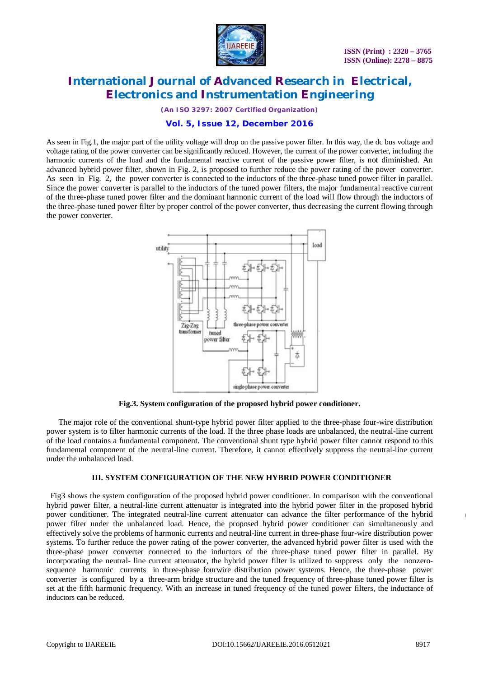

*(An ISO 3297: 2007 Certified Organization)*

## **Vol. 5, Issue 12, December 2016**

As seen in Fig.1, the major part of the utility voltage will drop on the passive power filter. In this way, the dc bus voltage and voltage rating of the power converter can be significantly reduced. However, the current of the power converter, including the harmonic currents of the load and the fundamental reactive current of the passive power filter, is not diminished. An advanced hybrid power filter, shown in Fig. 2, is proposed to further reduce the power rating of the power converter. As seen in Fig. 2, the power converter is connected to the inductors of the three-phase tuned power filter in parallel. Since the power converter is parallel to the inductors of the tuned power filters, the major fundamental reactive current of the three-phase tuned power filter and the dominant harmonic current of the load will flow through the inductors of the three-phase tuned power filter by proper control of the power converter, thus decreasing the current flowing through the power converter.



**Fig.3. System configuration of the proposed hybrid power conditioner.**

The major role of the conventional shunt-type hybrid power filter applied to the three-phase four-wire distribution power system is to filter harmonic currents of the load. If the three phase loads are unbalanced, the neutral-line current of the load contains a fundamental component. The conventional shunt type hybrid power filter cannot respond to this fundamental component of the neutral-line current. Therefore, it cannot effectively suppress the neutral-line current under the unbalanced load.

#### **III. SYSTEM CONFIGURATION OF THE NEW HYBRID POWER CONDITIONER**

Fig3 shows the system configuration of the proposed hybrid power conditioner. In comparison with the conventional hybrid power filter, a neutral-line current attenuator is integrated into the hybrid power filter in the proposed hybrid power conditioner. The integrated neutral-line current attenuator can advance the filter performance of the hybrid power filter under the unbalanced load. Hence, the proposed hybrid power conditioner can simultaneously and effectively solve the problems of harmonic currents and neutral-line current in three-phase four-wire distribution power systems. To further reduce the power rating of the power converter, the advanced hybrid power filter is used with the three-phase power converter connected to the inductors of the three-phase tuned power filter in parallel. By incorporating the neutral- line current attenuator, the hybrid power filter is utilized to suppress only the nonzerosequence harmonic currents in three-phase fourwire distribution power systems. Hence, the three-phase power converter is configured by a three-arm bridge structure and the tuned frequency of three-phase tuned power filter is set at the fifth harmonic frequency. With an increase in tuned frequency of the tuned power filters, the inductance of inductors can be reduced.

**(**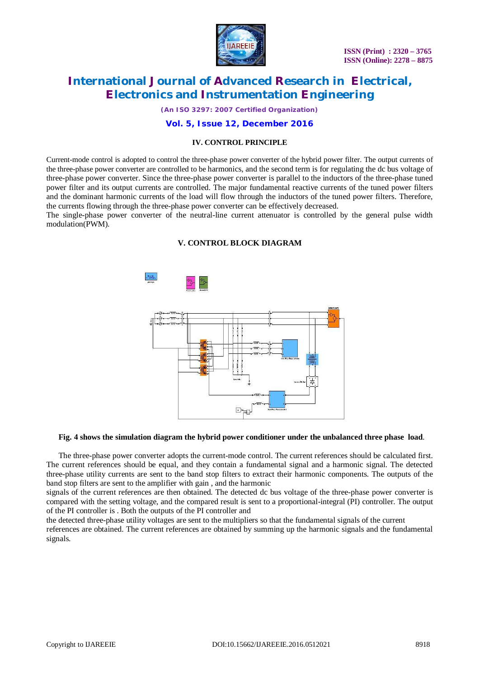

*(An ISO 3297: 2007 Certified Organization)*

### **Vol. 5, Issue 12, December 2016**

#### **IV. CONTROL PRINCIPLE**

Current-mode control is adopted to control the three-phase power converter of the hybrid power filter. The output currents of the three-phase power converter are controlled to be harmonics, and the second term is for regulating the dc bus voltage of three-phase power converter. Since the three-phase power converter is parallel to the inductors of the three-phase tuned power filter and its output currents are controlled. The major fundamental reactive currents of the tuned power filters and the dominant harmonic currents of the load will flow through the inductors of the tuned power filters. Therefore, the currents flowing through the three-phase power converter can be effectively decreased.

The single-phase power converter of the neutral-line current attenuator is controlled by the general pulse width modulation(PWM).

#### **V. CONTROL BLOCK DIAGRAM**



### **Fig. 4 shows the simulation diagram the hybrid power conditioner under the unbalanced three phase load**.

The three-phase power converter adopts the current-mode control. The current references should be calculated first. The current references should be equal, and they contain a fundamental signal and a harmonic signal. The detected three-phase utility currents are sent to the band stop filters to extract their harmonic components. The outputs of the band stop filters are sent to the amplifier with gain , and the harmonic

signals of the current references are then obtained. The detected dc bus voltage of the three-phase power converter is compared with the setting voltage, and the compared result is sent to a proportional-integral (PI) controller. The output of the PI controller is . Both the outputs of the PI controller and

the detected three-phase utility voltages are sent to the multipliers so that the fundamental signals of the current references are obtained. The current references are obtained by summing up the harmonic signals and the fundamental signals.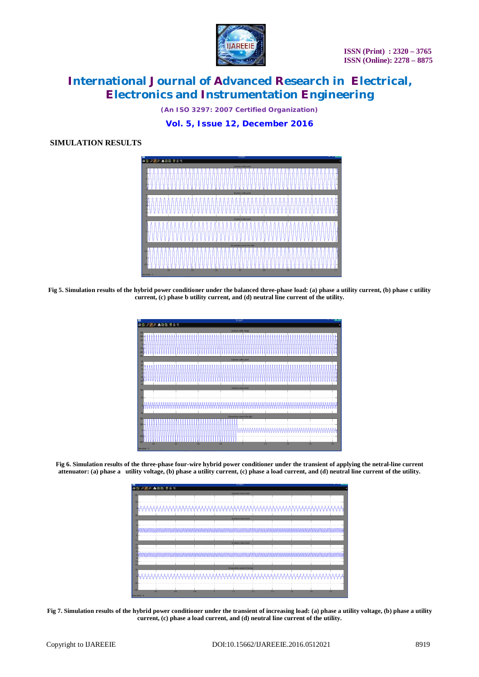

*(An ISO 3297: 2007 Certified Organization)*

**Vol. 5, Issue 12, December 2016**

## **SIMULATION RESULTS**



**Fig 5. Simulation results of the hybrid power conditioner under the balanced three-phase load: (a) phase a utility current, (b) phase c utility current, (c) phase b utility current, and (d) neutral line current of the utility.**

| ø                                                                                              | Scopet                                              |                |
|------------------------------------------------------------------------------------------------|-----------------------------------------------------|----------------|
| ●自りのの高速回日号                                                                                     |                                                     |                |
| 300                                                                                            | [a] phase a utility voltage                         |                |
| 200<br>100 <sub>1</sub><br>io.<br>$-1001$<br>200                                               |                                                     | Ħ              |
| 300                                                                                            | (b) phase a utility current                         |                |
| 30 <sub>1</sub><br>20 <sub>1</sub><br>10 <sup>1</sup><br>o-<br>$-10 -$<br>$\infty$<br>$\infty$ |                                                     |                |
| 100 <sub>1</sub>                                                                               | (c) phase a load current                            |                |
| 80                                                                                             |                                                     |                |
|                                                                                                |                                                     | ₩              |
| 80                                                                                             |                                                     |                |
| 400 <sub>1</sub>                                                                               | (c) neutral line current of the utility             |                |
| 200<br>n.<br>$200 -$<br>$-100$<br>$\overline{02}$<br>0.4                                       | IMM<br><b>AAAAAA</b><br>06<br>08<br>$\overline{12}$ | 18<br>14<br>1s |

**Fig 6. Simulation results of the three-phase four-wire hybrid power conditioner under the transient of applying the netral-line current attenuator: (a) phase a utility voltage, (b) phase a utility current, (c) phase a load current, and (d) neutral line current of the utility.**

| m                                             |                               | scope.                   |          |     |  |
|-----------------------------------------------|-------------------------------|--------------------------|----------|-----|--|
| $\omega$                                      |                               |                          |          |     |  |
| (a) phose a load current<br>100               |                               |                          |          |     |  |
| 50                                            |                               |                          |          |     |  |
|                                               | <u> ሊሊሊሊሊሊሊሊሊሊሊሊሊሊሊሊሊሊሊሊሊ</u> |                          | \AAAA/   |     |  |
| <b>JSO</b>                                    |                               |                          |          |     |  |
| 1n                                            |                               | (b) phase b load current |          |     |  |
|                                               |                               |                          |          |     |  |
|                                               |                               |                          |          |     |  |
| $\mathbf{0}$                                  |                               |                          |          |     |  |
|                                               |                               |                          |          |     |  |
| $-10$                                         |                               |                          |          |     |  |
| 15                                            |                               | (c) phase c load current |          |     |  |
|                                               |                               |                          |          |     |  |
|                                               |                               |                          |          |     |  |
|                                               |                               |                          |          |     |  |
| $-10-$                                        |                               |                          |          |     |  |
| $-15$<br>(c) neutral line current of the load |                               |                          |          |     |  |
|                                               |                               |                          |          |     |  |
| 0 <sub>1</sub>                                |                               |                          |          |     |  |
|                                               |                               |                          |          |     |  |
| m.                                            |                               |                          |          |     |  |
| $-100$                                        |                               |                          |          |     |  |
| 07<br>0R                                      |                               | 12                       |          | 16  |  |
|                                               | 0.3 <sup>2</sup>              | 11                       | 12<br>14 | 15. |  |

**Fig 7. Simulation results of the hybrid power conditioner under the transient of increasing load: (a) phase a utility voltage, (b) phase a utility current, (c) phase a load current, and (d) neutral line current of the utility.**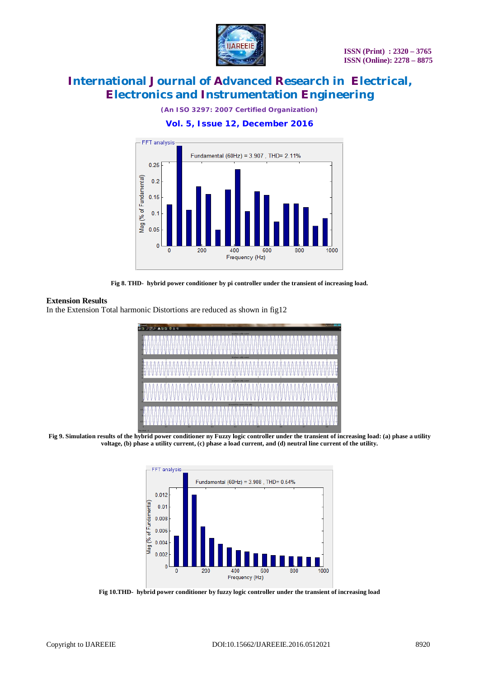

*(An ISO 3297: 2007 Certified Organization)*

## **Vol. 5, Issue 12, December 2016**



**Fig 8. THD- hybrid power conditioner by pi controller under the transient of increasing load.**

#### **Extension Results**

In the Extension Total harmonic Distortions are reduced as shown in fig12



**Fig 9. Simulation results of the hybrid power conditioner ny Fuzzy logic controller under the transient of increasing load: (a) phase a utility voltage, (b) phase a utility current, (c) phase a load current, and (d) neutral line current of the utility.**



**Fig 10.THD- hybrid power conditioner by fuzzy logic controller under the transient of increasing load**